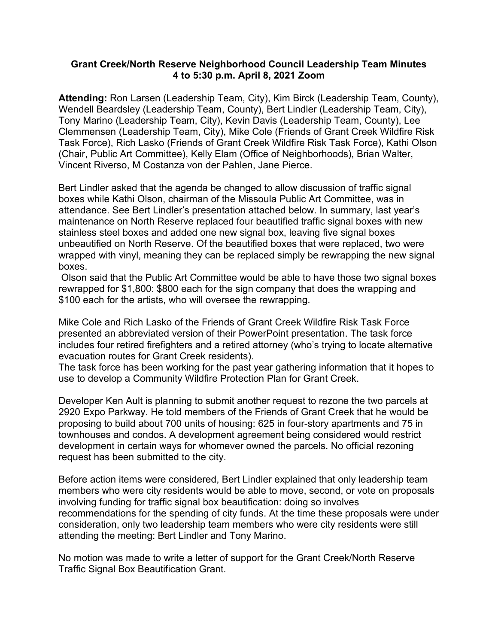## **Grant Creek/North Reserve Neighborhood Council Leadership Team Minutes 4 to 5:30 p.m. April 8, 2021 Zoom**

**Attending:** Ron Larsen (Leadership Team, City), Kim Birck (Leadership Team, County), Wendell Beardsley (Leadership Team, County), Bert Lindler (Leadership Team, City), Tony Marino (Leadership Team, City), Kevin Davis (Leadership Team, County), Lee Clemmensen (Leadership Team, City), Mike Cole (Friends of Grant Creek Wildfire Risk Task Force), Rich Lasko (Friends of Grant Creek Wildfire Risk Task Force), Kathi Olson (Chair, Public Art Committee), Kelly Elam (Office of Neighborhoods), Brian Walter, Vincent Riverso, M Costanza von der Pahlen, Jane Pierce.

Bert Lindler asked that the agenda be changed to allow discussion of traffic signal boxes while Kathi Olson, chairman of the Missoula Public Art Committee, was in attendance. See Bert Lindler's presentation attached below. In summary, last year's maintenance on North Reserve replaced four beautified traffic signal boxes with new stainless steel boxes and added one new signal box, leaving five signal boxes unbeautified on North Reserve. Of the beautified boxes that were replaced, two were wrapped with vinyl, meaning they can be replaced simply be rewrapping the new signal boxes.

Olson said that the Public Art Committee would be able to have those two signal boxes rewrapped for \$1,800: \$800 each for the sign company that does the wrapping and \$100 each for the artists, who will oversee the rewrapping.

Mike Cole and Rich Lasko of the Friends of Grant Creek Wildfire Risk Task Force presented an abbreviated version of their PowerPoint presentation. The task force includes four retired firefighters and a retired attorney (who's trying to locate alternative evacuation routes for Grant Creek residents).

The task force has been working for the past year gathering information that it hopes to use to develop a Community Wildfire Protection Plan for Grant Creek.

Developer Ken Ault is planning to submit another request to rezone the two parcels at 2920 Expo Parkway. He told members of the Friends of Grant Creek that he would be proposing to build about 700 units of housing: 625 in four-story apartments and 75 in townhouses and condos. A development agreement being considered would restrict development in certain ways for whomever owned the parcels. No official rezoning request has been submitted to the city.

Before action items were considered, Bert Lindler explained that only leadership team members who were city residents would be able to move, second, or vote on proposals involving funding for traffic signal box beautification: doing so involves recommendations for the spending of city funds. At the time these proposals were under consideration, only two leadership team members who were city residents were still attending the meeting: Bert Lindler and Tony Marino.

No motion was made to write a letter of support for the Grant Creek/North Reserve Traffic Signal Box Beautification Grant.